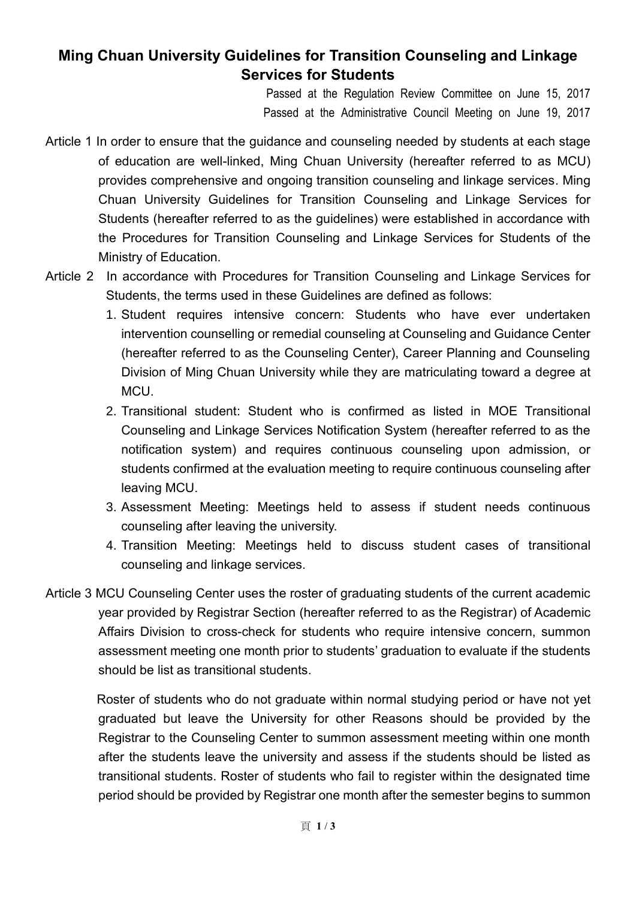## **Ming Chuan University Guidelines for Transition Counseling and Linkage Services for Students**

Passed at the Regulation Review Committee on June 15, 2017 Passed at the Administrative Council Meeting on June 19, 2017

- Article 1 In order to ensure that the guidance and counseling needed by students at each stage of education are well-linked, Ming Chuan University (hereafter referred to as MCU) provides comprehensive and ongoing transition counseling and linkage services. Ming Chuan University Guidelines for Transition Counseling and Linkage Services for Students (hereafter referred to as the guidelines) were established in accordance with the Procedures for Transition Counseling and Linkage Services for Students of the Ministry of Education.
- Article 2 In accordance with Procedures for Transition Counseling and Linkage Services for Students, the terms used in these Guidelines are defined as follows:
	- 1. Student requires intensive concern: Students who have ever undertaken intervention counselling or remedial counseling at Counseling and Guidance Center (hereafter referred to as the Counseling Center), Career Planning and Counseling Division of Ming Chuan University while they are matriculating toward a degree at MCU.
	- 2. Transitional student: Student who is confirmed as listed in MOE Transitional Counseling and Linkage Services Notification System (hereafter referred to as the notification system) and requires continuous counseling upon admission, or students confirmed at the evaluation meeting to require continuous counseling after leaving MCU.
	- 3. Assessment Meeting: Meetings held to assess if student needs continuous counseling after leaving the university.
	- 4. Transition Meeting: Meetings held to discuss student cases of transitional counseling and linkage services.
- Article 3 MCU Counseling Center uses the roster of graduating students of the current academic year provided by Registrar Section (hereafter referred to as the Registrar) of Academic Affairs Division to cross-check for students who require intensive concern, summon assessment meeting one month prior to students' graduation to evaluate if the students should be list as transitional students.

 Roster of students who do not graduate within normal studying period or have not yet graduated but leave the University for other Reasons should be provided by the Registrar to the Counseling Center to summon assessment meeting within one month after the students leave the university and assess if the students should be listed as transitional students. Roster of students who fail to register within the designated time period should be provided by Registrar one month after the semester begins to summon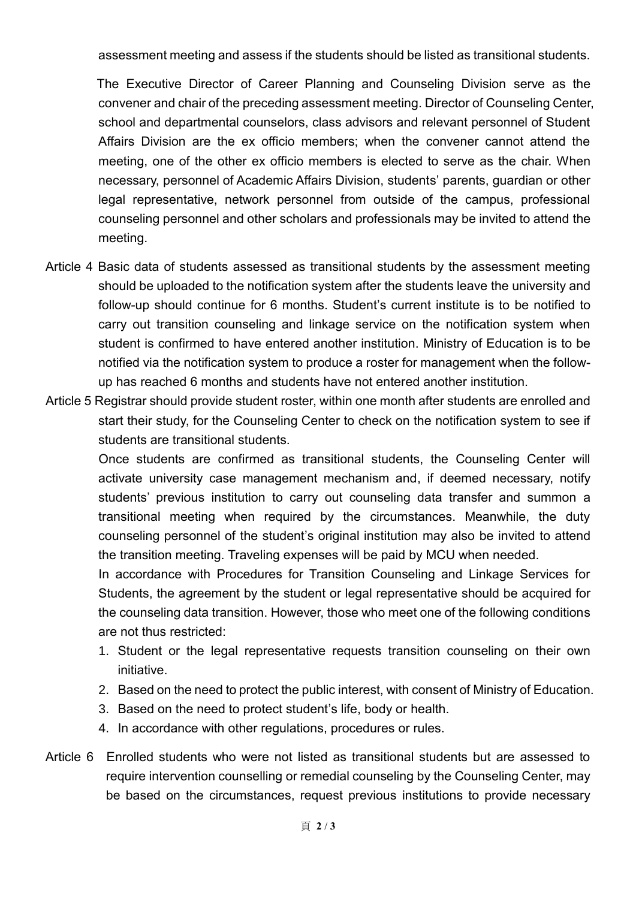assessment meeting and assess if the students should be listed as transitional students.

 The Executive Director of Career Planning and Counseling Division serve as the convener and chair of the preceding assessment meeting. Director of Counseling Center, school and departmental counselors, class advisors and relevant personnel of Student Affairs Division are the ex officio members; when the convener cannot attend the meeting, one of the other ex officio members is elected to serve as the chair. When necessary, personnel of Academic Affairs Division, students' parents, guardian or other legal representative, network personnel from outside of the campus, professional counseling personnel and other scholars and professionals may be invited to attend the meeting.

- Article 4 Basic data of students assessed as transitional students by the assessment meeting should be uploaded to the notification system after the students leave the university and follow-up should continue for 6 months. Student's current institute is to be notified to carry out transition counseling and linkage service on the notification system when student is confirmed to have entered another institution. Ministry of Education is to be notified via the notification system to produce a roster for management when the followup has reached 6 months and students have not entered another institution.
- Article 5 Registrar should provide student roster, within one month after students are enrolled and start their study, for the Counseling Center to check on the notification system to see if students are transitional students.

Once students are confirmed as transitional students, the Counseling Center will activate university case management mechanism and, if deemed necessary, notify students' previous institution to carry out counseling data transfer and summon a transitional meeting when required by the circumstances. Meanwhile, the duty counseling personnel of the student's original institution may also be invited to attend the transition meeting. Traveling expenses will be paid by MCU when needed.

In accordance with Procedures for Transition Counseling and Linkage Services for Students, the agreement by the student or legal representative should be acquired for the counseling data transition. However, those who meet one of the following conditions are not thus restricted:

- 1. Student or the legal representative requests transition counseling on their own initiative.
- 2. Based on the need to protect the public interest, with consent of Ministry of Education.
- 3. Based on the need to protect student's life, body or health.
- 4. In accordance with other regulations, procedures or rules.
- Article 6 Enrolled students who were not listed as transitional students but are assessed to require intervention counselling or remedial counseling by the Counseling Center, may be based on the circumstances, request previous institutions to provide necessary